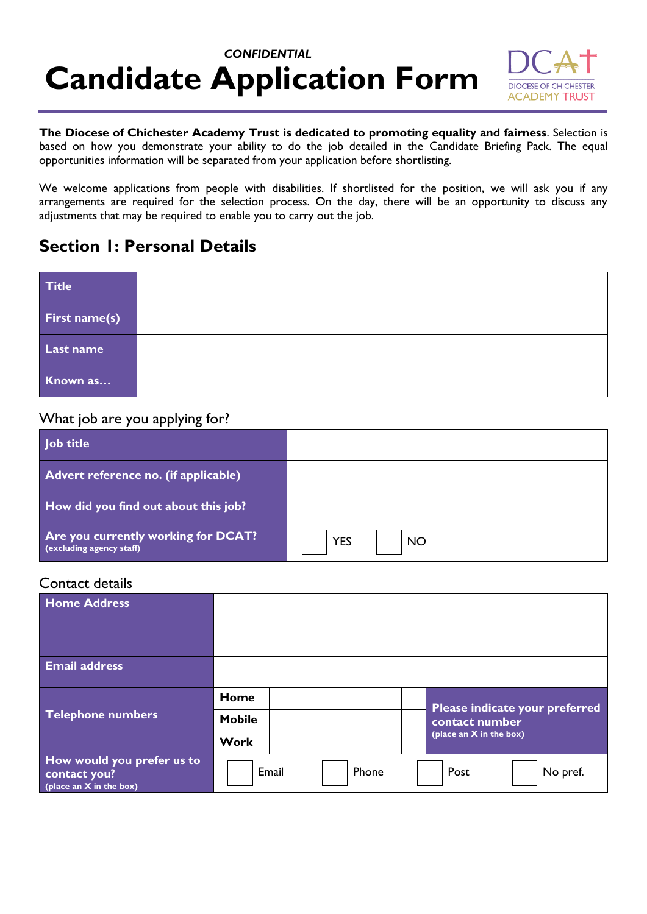# *CONFIDENTIAL* **Candidate Application Form**



**The Diocese of Chichester Academy Trust is dedicated to promoting equality and fairness**. Selection is based on how you demonstrate your ability to do the job detailed in the Candidate Briefing Pack. The equal opportunities information will be separated from your application before shortlisting.

We welcome applications from people with disabilities. If shortlisted for the position, we will ask you if any arrangements are required for the selection process. On the day, there will be an opportunity to discuss any adjustments that may be required to enable you to carry out the job.

### **Section 1: Personal Details**

| <b>Title</b>  |  |
|---------------|--|
| First name(s) |  |
| Last name     |  |
| Known as      |  |

#### What job are you applying for?

| Job title                                                       |                         |
|-----------------------------------------------------------------|-------------------------|
| Advert reference no. (if applicable)                            |                         |
| How did you find out about this job?                            |                         |
| Are you currently working for DCAT?<br>(excluding agency staff) | <b>YES</b><br><b>NO</b> |

#### Contact details

| <b>Home Address</b>                                                     |                |                                |
|-------------------------------------------------------------------------|----------------|--------------------------------|
|                                                                         |                |                                |
| <b>Email address</b>                                                    |                |                                |
|                                                                         | Home           | Please indicate your preferred |
| Telephone numbers                                                       | <b>Mobile</b>  | contact number                 |
|                                                                         | <b>Work</b>    | (place an X in the box)        |
| How would you prefer us to<br>contact you?<br>(place an $X$ in the box) | Email<br>Phone | Post<br>No pref.               |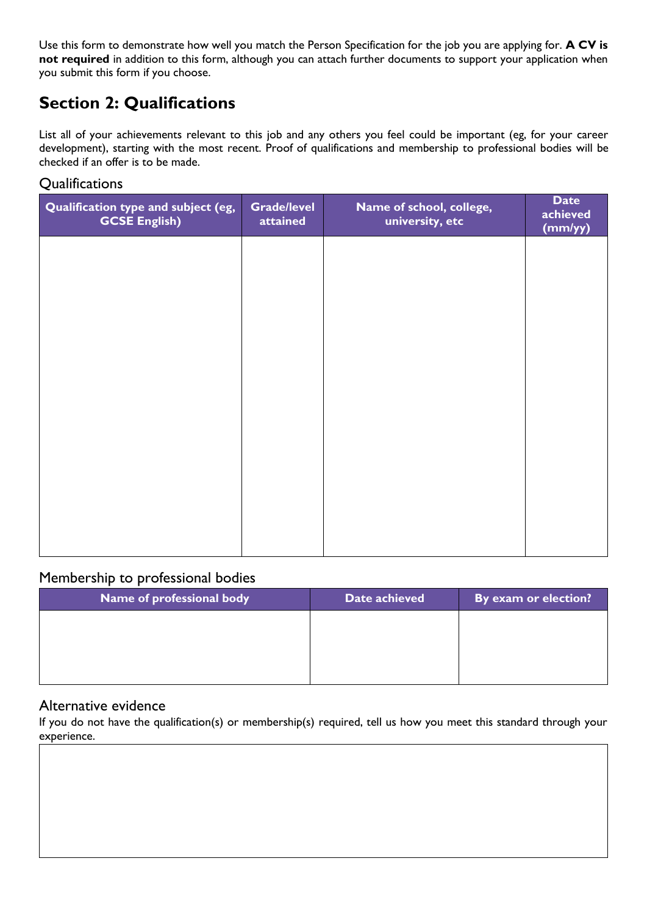Use this form to demonstrate how well you match the Person Specification for the job you are applying for. **A CV is not required** in addition to this form, although you can attach further documents to support your application when you submit this form if you choose.

# **Section 2: Qualifications**

List all of your achievements relevant to this job and any others you feel could be important (eg, for your career development), starting with the most recent. Proof of qualifications and membership to professional bodies will be checked if an offer is to be made.

#### **Qualifications**

| <b>Grade/level</b><br>attained | Name of school, college,<br>university, etc | <b>Date</b><br>achieved<br>(mm/yy) |
|--------------------------------|---------------------------------------------|------------------------------------|
|                                |                                             |                                    |
|                                |                                             |                                    |
|                                |                                             |                                    |
|                                |                                             |                                    |
|                                |                                             |                                    |
|                                |                                             |                                    |
|                                |                                             |                                    |
|                                |                                             |                                    |

#### Membership to professional bodies

#### Alternative evidence

If you do not have the qualification(s) or membership(s) required, tell us how you meet this standard through your experience.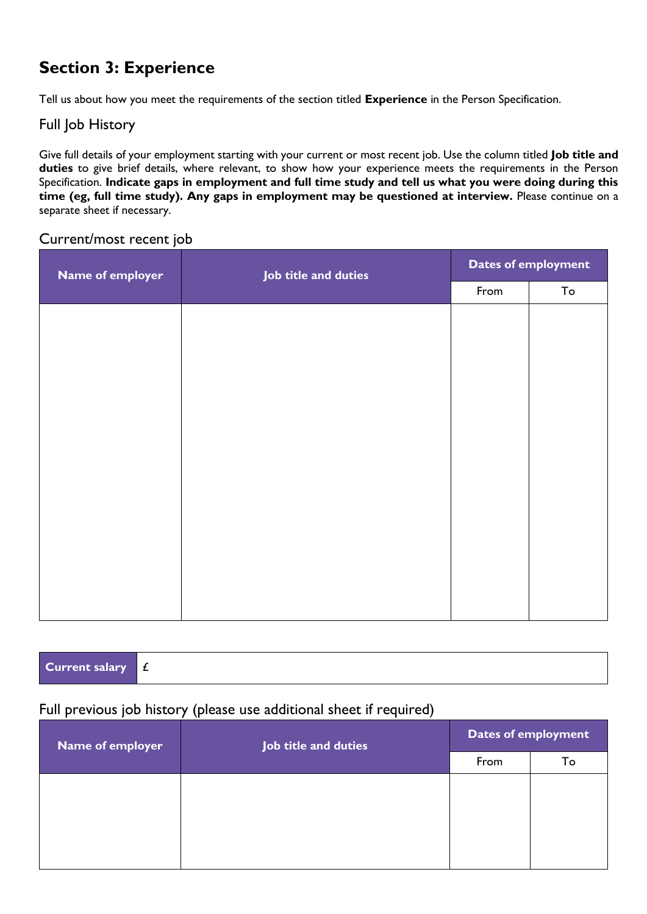# **Section 3: Experience**

Tell us about how you meet the requirements of the section titled **Experience** in the Person Specification.

#### Full Job History

Give full details of your employment starting with your current or most recent job. Use the column titled **Job title and duties** to give brief details, where relevant, to show how your experience meets the requirements in the Person Specification. **Indicate gaps in employment and full time study and tell us what you were doing during this time (eg, full time study). Any gaps in employment may be questioned at interview.** Please continue on a separate sheet if necessary.

#### Current/most recent job

| Name of employer | Job title and duties |      | <b>Dates of employment</b> |
|------------------|----------------------|------|----------------------------|
|                  |                      | From | To                         |
|                  |                      |      |                            |
|                  |                      |      |                            |
|                  |                      |      |                            |
|                  |                      |      |                            |
|                  |                      |      |                            |
|                  |                      |      |                            |
|                  |                      |      |                            |
|                  |                      |      |                            |
|                  |                      |      |                            |
|                  |                      |      |                            |
|                  |                      |      |                            |
|                  |                      |      |                            |
|                  |                      |      |                            |

| <b>Current salary <math>f</math></b> |  |
|--------------------------------------|--|

#### Full previous job history (please use additional sheet if required)

| Name of employer | Job title and duties |      | <b>Dates of employment</b> |  |  |
|------------------|----------------------|------|----------------------------|--|--|
|                  |                      | From | Тo                         |  |  |
|                  |                      |      |                            |  |  |
|                  |                      |      |                            |  |  |
|                  |                      |      |                            |  |  |
|                  |                      |      |                            |  |  |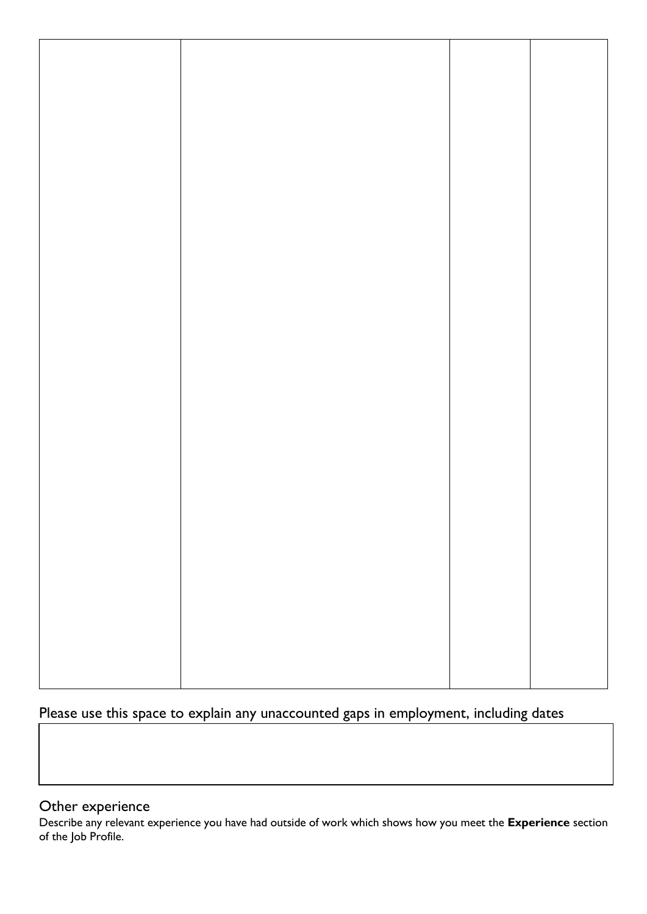## Please use this space to explain any unaccounted gaps in employment, including dates

#### Other experience

Describe any relevant experience you have had outside of work which shows how you meet the **Experience** section of the Job Profile.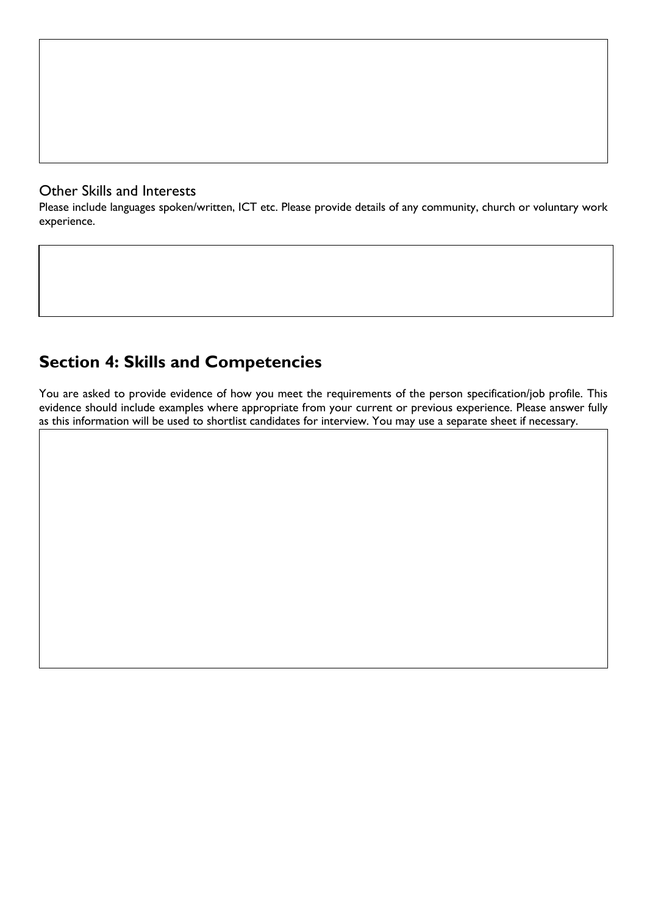#### Other Skills and Interests

Please include languages spoken/written, ICT etc. Please provide details of any community, church or voluntary work experience.

## **Section 4: Skills and Competencies**

You are asked to provide evidence of how you meet the requirements of the person specification/job profile. This evidence should include examples where appropriate from your current or previous experience. Please answer fully as this information will be used to shortlist candidates for interview. You may use a separate sheet if necessary.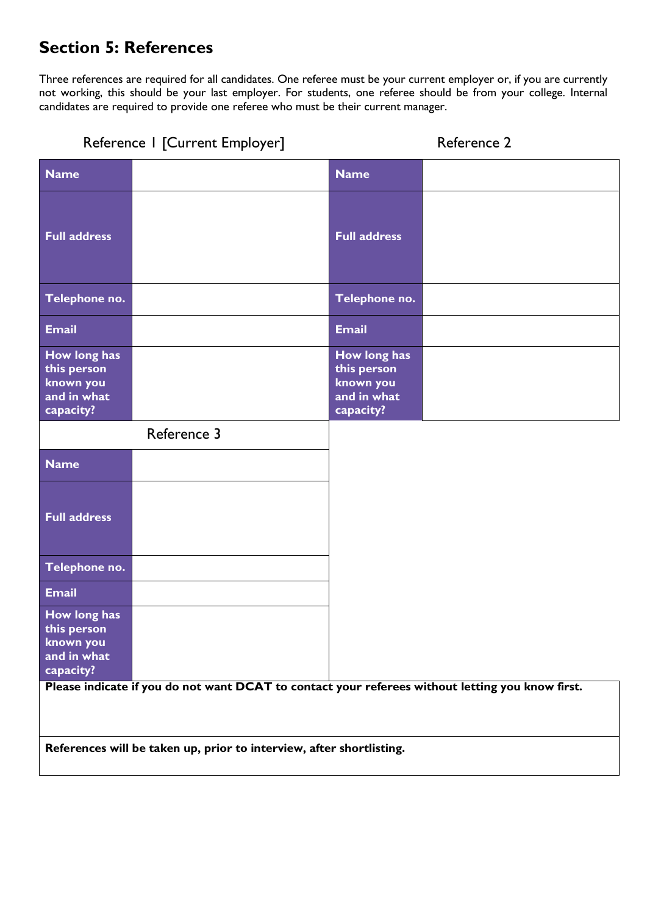# **Section 5: References**

Three references are required for all candidates. One referee must be your current employer or, if you are currently not working, this should be your last employer. For students, one referee should be from your college. Internal candidates are required to provide one referee who must be their current manager.

|                                                                      | Reference I [Current Employer]                                                                   |                                                                      | Reference 2 |
|----------------------------------------------------------------------|--------------------------------------------------------------------------------------------------|----------------------------------------------------------------------|-------------|
| <b>Name</b>                                                          |                                                                                                  | <b>Name</b>                                                          |             |
| <b>Full address</b>                                                  |                                                                                                  | <b>Full address</b>                                                  |             |
| Telephone no.                                                        |                                                                                                  | Telephone no.                                                        |             |
| <b>Email</b>                                                         |                                                                                                  | <b>Email</b>                                                         |             |
| How long has<br>this person<br>known you<br>and in what<br>capacity? |                                                                                                  | How long has<br>this person<br>known you<br>and in what<br>capacity? |             |
|                                                                      | Reference 3                                                                                      |                                                                      |             |
| <b>Name</b>                                                          |                                                                                                  |                                                                      |             |
| <b>Full address</b>                                                  |                                                                                                  |                                                                      |             |
| Telephone no.                                                        |                                                                                                  |                                                                      |             |
| <b>Email</b>                                                         |                                                                                                  |                                                                      |             |
| How long has<br>this person<br>known you<br>and in what<br>capacity? |                                                                                                  |                                                                      |             |
|                                                                      | Please indicate if you do not want DCAT to contact your referees without letting you know first. |                                                                      |             |
|                                                                      | References will be taken up, prior to interview, after shortlisting.                             |                                                                      |             |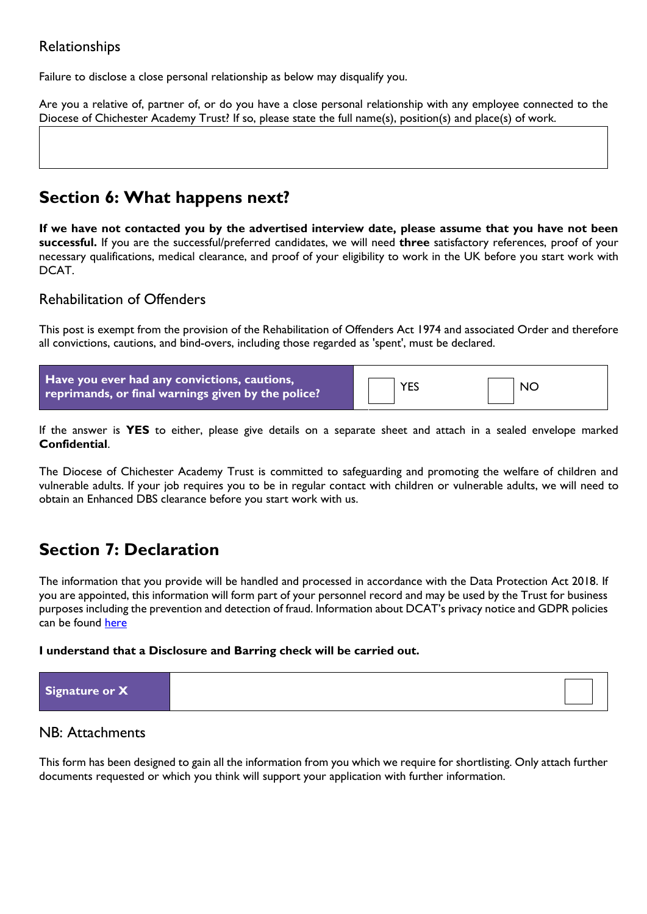#### Relationships

Failure to disclose a close personal relationship as below may disqualify you.

Are you a relative of, partner of, or do you have a close personal relationship with any employee connected to the Diocese of Chichester Academy Trust? If so, please state the full name(s), position(s) and place(s) of work.

### **Section 6: What happens next?**

**If we have not contacted you by the advertised interview date, please assume that you have not been successful.** If you are the successful/preferred candidates, we will need **three** satisfactory references, proof of your necessary qualifications, medical clearance, and proof of your eligibility to work in the UK before you start work with DCAT.

#### Rehabilitation of Offenders

This post is exempt from the provision of the Rehabilitation of Offenders Act 1974 and associated Order and therefore all convictions, cautions, and bind-overs, including those regarded as 'spent', must be declared.

| Have you ever had any convictions, cautions,<br>reprimands, or final warnings given by the police? | <b>YES</b> | <b>NC</b> |  |
|----------------------------------------------------------------------------------------------------|------------|-----------|--|
|----------------------------------------------------------------------------------------------------|------------|-----------|--|

If the answer is **YES** to either, please give details on a separate sheet and attach in a sealed envelope marked **Confidential**.

The Diocese of Chichester Academy Trust is committed to safeguarding and promoting the welfare of children and vulnerable adults. If your job requires you to be in regular contact with children or vulnerable adults, we will need to obtain an Enhanced DBS clearance before you start work with us.

### **Section 7: Declaration**

The information that you provide will be handled and processed in accordance with the Data Protection Act 2018. If you are appointed, this information will form part of your personnel record and may be used by the Trust for business purposes including the prevention and detection of fraud. Information about DCAT's privacy notice and GDPR policies can be found [here](https://dcat.academy/statutory-documentation/trust-policies/)

#### **I understand that a Disclosure and Barring check will be carried out.**

|--|

#### NB: Attachments

This form has been designed to gain all the information from you which we require for shortlisting. Only attach further documents requested or which you think will support your application with further information.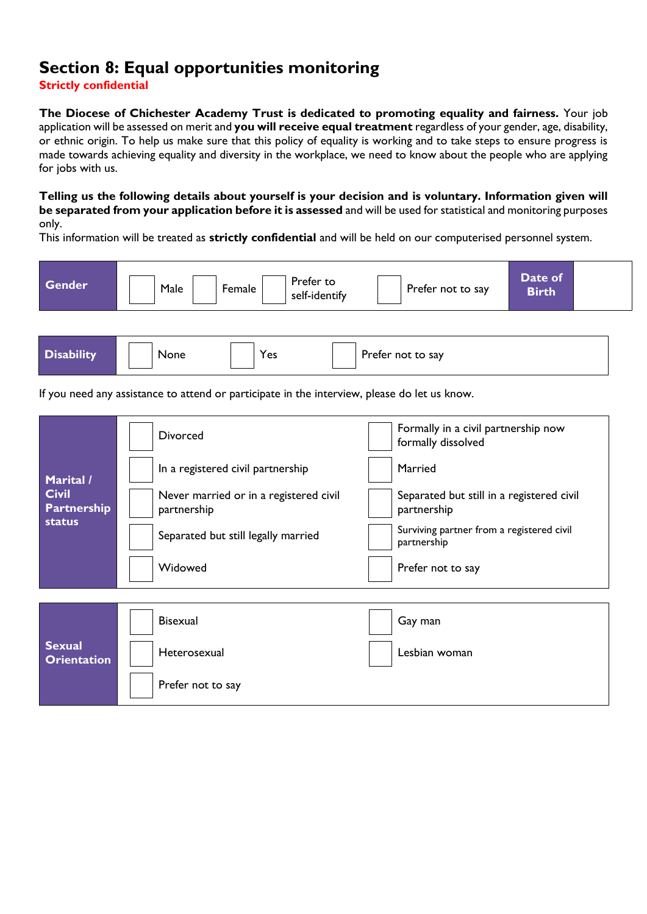# **Section 8: Equal opportunities monitoring**

**Strictly confidential**

**The Diocese of Chichester Academy Trust is dedicated to promoting equality and fairness.** Your job application will be assessed on merit and **you will receive equal treatment** regardless of your gender, age, disability, or ethnic origin. To help us make sure that this policy of equality is working and to take steps to ensure progress is made towards achieving equality and diversity in the workplace, we need to know about the people who are applying for jobs with us.

**Telling us the following details about yourself is your decision and is voluntary. Information given will be separated from your application before it is assessed** and will be used for statistical and monitoring purposes only.

This information will be treated as **strictly confidential** and will be held on our computerised personnel system.

| <b>Gender</b>                                       | Prefer to<br>Male<br>Female<br>self-identify                                                 | Date of<br>Prefer not to say<br><b>Birth</b>              |
|-----------------------------------------------------|----------------------------------------------------------------------------------------------|-----------------------------------------------------------|
|                                                     |                                                                                              |                                                           |
| <b>Disability</b>                                   | None<br>Yes                                                                                  | Prefer not to say                                         |
|                                                     | If you need any assistance to attend or participate in the interview, please do let us know. |                                                           |
|                                                     | <b>Divorced</b>                                                                              | Formally in a civil partnership now<br>formally dissolved |
| Marital /                                           | In a registered civil partnership                                                            | Married                                                   |
| <b>Civil</b><br><b>Partnership</b><br><b>status</b> | Never married or in a registered civil<br>partnership                                        | Separated but still in a registered civil<br>partnership  |
|                                                     | Separated but still legally married                                                          | Surviving partner from a registered civil<br>partnership  |
|                                                     | Widowed                                                                                      | Prefer not to say                                         |
|                                                     | <b>Bisexual</b>                                                                              | Gay man                                                   |
| <b>Sexual</b><br><b>Orientation</b>                 | Heterosexual                                                                                 | Lesbian woman                                             |
|                                                     | Prefer not to say                                                                            |                                                           |